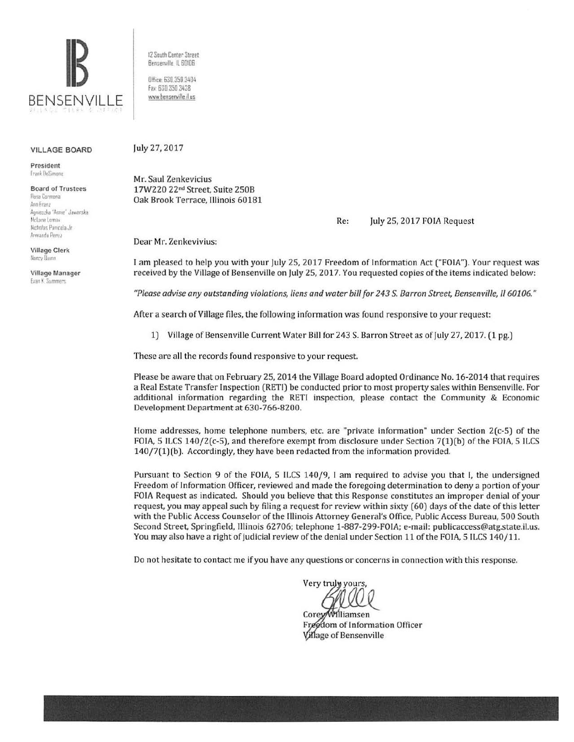

VILLAGE BOARD

President Frank DeSimone

**Board of Trustees Rosa Carmona** Ann Franz Agnieszka "Annie" Jaworska McLane Lemax Nicholas Pamicola Jr. Armando Perez

Village Clerk Nancy Dunn

Village Manager **Evan K. Summers** 

12 South Center Street Benserville IL 60I06

Office 630.350 <sup>3404</sup> Fax: 630 350 3438 www.bensenville il us

## July 27, 2017

Mr. Saul Zenkevicius 17W220 22nd Street, Suite 2SOB Oak Brook Terrace, Illinois 60181

Re: July 25, 2017 FOIA Request

Dear Mr. Zenkevivius:

I am pleased to help you with your July 25, 2017 Freedom of Information Act ("FOlA"). Your request was received by the Village of Bensenville on July 25, 2017. You requested copies of the items indicated below:

*"Please advise any outstanding violations, liens and water bill for 243 S. Barron Street, Bensenville, II 60106."* 

After a search of Village files, the following information was found responsive to your request:

1) Village of Bensenville Current Water Bill for 243 S. Barron Street as of July 27, 2017. (1 pg.)

These are all the records found responsive to your request.

Please be aware that on February 25, 2014 the Village Board adopted Ordinance No. 16-2014 that requires a Real Estate Transfer Inspection (RETl) be conducted prior to most property sales within Bensenville. For additional information regarding the RETI inspection, please contact the Community & Economic Development Department at 630-766-8200.

Home addresses, home telephone numbers, etc. are "private information" under Section 2(c-5) of the FOIA, 5 ILCS 140/2(c-5), and therefore exempt from disclosure under Section 7(1)(b) of the FOIA, 5 ILCS 140/7(1)(b). Accordingly, they have been redacted from the information provided.

Pursuant to Section 9 of the FOIA, 5 ILCS 140/9, I am required to advise you that I, the undersigned Freedom of Information Officer, reviewed and made the foregoing determination to deny a portion of your FOIA Request as indicated. Should you believe that this Response constitutes an improper denial of your request, you may appeal such by filing a request for review within sixty (60) days of the date of this letter with the Public Access Counselor of the Illinois Attorney General's Office, Public Access Bureau, 500 South Second Street, Springfield, Illinois 62706; telephone 1-887-299-FOIA; e-mail: publicaccess@atg.state.il.us. You may also have a right of judicial review of the denial under Section 11 of the FOIA, S lLCS 140/11.

Do not hesitate to contact me if you have any questions or concerns in connection with this response.

Very truly yours

Corey/Williamsen Freedom of Information Officer **Village of Bensenville**